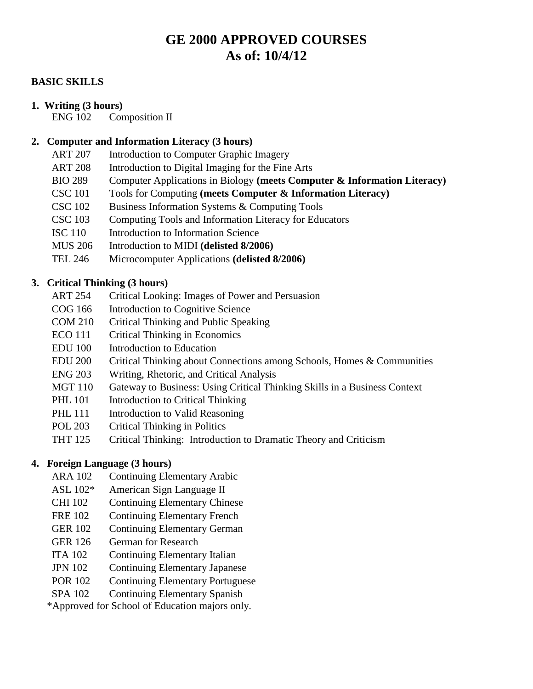# **GE 2000 APPROVED COURSES As of: 10/4/12**

### **BASIC SKILLS**

### **1. Writing (3 hours)**

ENG 102 Composition II

### **2. Computer and Information Literacy (3 hours)**

- ART 207 Introduction to Computer Graphic Imagery
- ART 208 Introduction to Digital Imaging for the Fine Arts
- BIO 289 Computer Applications in Biology **(meets Computer & Information Literacy)**
- CSC 101 Tools for Computing **(meets Computer & Information Literacy)**
- CSC 102 Business Information Systems & Computing Tools
- CSC 103 Computing Tools and Information Literacy for Educators
- ISC 110 Introduction to Information Science
- MUS 206 Introduction to MIDI **(delisted 8/2006)**
- TEL 246 Microcomputer Applications **(delisted 8/2006)**

### **3. Critical Thinking (3 hours)**

- ART 254 Critical Looking: Images of Power and Persuasion
- COG 166 Introduction to Cognitive Science
- COM 210 Critical Thinking and Public Speaking
- ECO 111 Critical Thinking in Economics
- EDU 100 Introduction to Education
- EDU 200 Critical Thinking about Connections among Schools, Homes & Communities
- ENG 203 Writing, Rhetoric, and Critical Analysis
- MGT 110 Gateway to Business: Using Critical Thinking Skills in a Business Context
- PHL 101 Introduction to Critical Thinking
- PHL 111 Introduction to Valid Reasoning
- POL 203 Critical Thinking in Politics
- THT 125 Critical Thinking: Introduction to Dramatic Theory and Criticism

### **4. Foreign Language (3 hours)**

- ARA 102 Continuing Elementary Arabic
- ASL 102\* American Sign Language II
- CHI 102 Continuing Elementary Chinese
- FRE 102 Continuing Elementary French
- GER 102 Continuing Elementary German
- GER 126 German for Research
- ITA 102 Continuing Elementary Italian
- JPN 102 Continuing Elementary Japanese
- POR 102 Continuing Elementary Portuguese
- SPA 102 Continuing Elementary Spanish

\*Approved for School of Education majors only.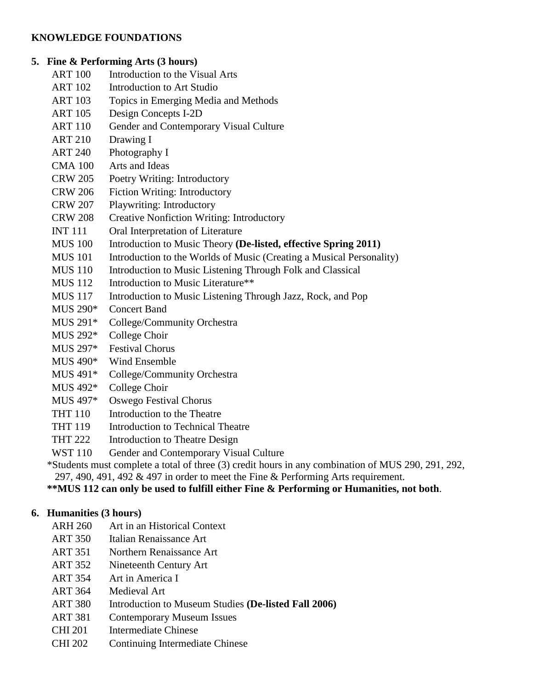### **KNOWLEDGE FOUNDATIONS**

### **5. Fine & Performing Arts (3 hours)**

- ART 100 Introduction to the Visual Arts
- ART 102 Introduction to Art Studio
- ART 103 Topics in Emerging Media and Methods
- ART 105 Design Concepts I-2D
- ART 110 Gender and Contemporary Visual Culture
- ART 210 Drawing I
- ART 240 Photography I
- CMA 100 Arts and Ideas
- CRW 205 Poetry Writing: Introductory
- CRW 206 Fiction Writing: Introductory
- CRW 207 Playwriting: Introductory
- CRW 208 Creative Nonfiction Writing: Introductory
- INT 111 Oral Interpretation of Literature
- MUS 100 Introduction to Music Theory **(De-listed, effective Spring 2011)**
- MUS 101 Introduction to the Worlds of Music (Creating a Musical Personality)
- MUS 110 Introduction to Music Listening Through Folk and Classical
- MUS 112 Introduction to Music Literature\*\*
- MUS 117 Introduction to Music Listening Through Jazz, Rock, and Pop
- MUS 290\* Concert Band
- MUS 291\* College/Community Orchestra
- MUS 292\* College Choir
- MUS 297\* Festival Chorus
- MUS 490\* Wind Ensemble
- MUS 491\* College/Community Orchestra
- MUS 492\* College Choir
- MUS 497\* Oswego Festival Chorus
- THT 110 Introduction to the Theatre
- THT 119 Introduction to Technical Theatre
- THT 222 Introduction to Theatre Design
- WST 110 Gender and Contemporary Visual Culture
- \*Students must complete a total of three (3) credit hours in any combination of MUS 290, 291, 292, 297, 490, 491, 492  $\&$  497 in order to meet the Fine  $\&$  Performing Arts requirement.

**\*\*MUS 112 can only be used to fulfill either Fine & Performing or Humanities, not both**.

### **6. Humanities (3 hours)**

- ARH 260 Art in an Historical Context
- ART 350 Italian Renaissance Art
- ART 351 Northern Renaissance Art
- ART 352 Nineteenth Century Art
- ART 354 Art in America I
- ART 364 Medieval Art
- ART 380 Introduction to Museum Studies **(De-listed Fall 2006)**
- ART 381 Contemporary Museum Issues
- CHI 201 Intermediate Chinese
- CHI 202 Continuing Intermediate Chinese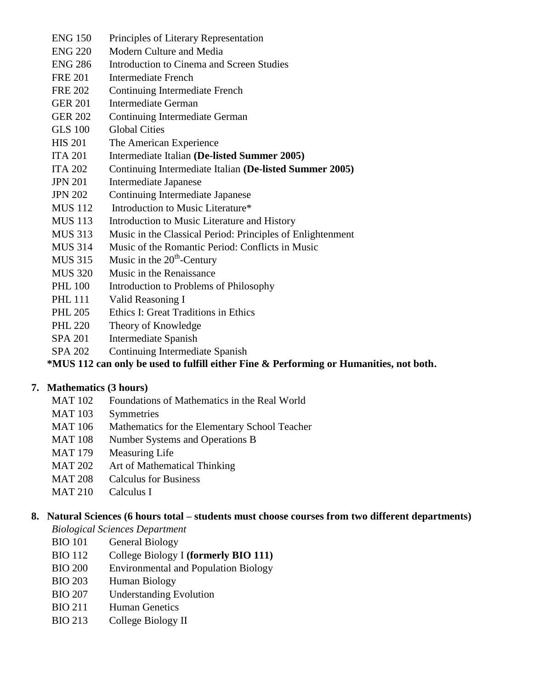- ENG 150 Principles of Literary Representation
- ENG 220 Modern Culture and Media
- ENG 286 Introduction to Cinema and Screen Studies
- FRE 201 Intermediate French
- FRE 202 Continuing Intermediate French
- GER 201 Intermediate German
- GER 202 Continuing Intermediate German
- GLS 100 Global Cities
- HIS 201 The American Experience
- ITA 201 Intermediate Italian **(De-listed Summer 2005)**
- ITA 202 Continuing Intermediate Italian **(De-listed Summer 2005)**
- JPN 201 Intermediate Japanese
- JPN 202 Continuing Intermediate Japanese
- MUS 112 Introduction to Music Literature\*
- MUS 113 Introduction to Music Literature and History
- MUS 313 Music in the Classical Period: Principles of Enlightenment
- MUS 314 Music of the Romantic Period: Conflicts in Music
- MUS 315 Music in the  $20<sup>th</sup>$ -Century
- MUS 320 Music in the Renaissance
- PHL 100 Introduction to Problems of Philosophy
- PHL 111 Valid Reasoning I
- PHL 205 Ethics I: Great Traditions in Ethics
- PHL 220 Theory of Knowledge
- SPA 201 Intermediate Spanish
- SPA 202 Continuing Intermediate Spanish

# **\*MUS 112 can only be used to fulfill either Fine & Performing or Humanities, not both.**

# **7. Mathematics (3 hours)**

- MAT 102 Foundations of Mathematics in the Real World
- MAT 103 Symmetries
- MAT 106 Mathematics for the Elementary School Teacher
- MAT 108 Number Systems and Operations B
- MAT 179 Measuring Life
- MAT 202 Art of Mathematical Thinking
- MAT 208 Calculus for Business
- MAT 210 Calculus I

# **8. Natural Sciences (6 hours total – students must choose courses from two different departments)**

*Biological Sciences Department*

- BIO 101 General Biology
- BIO 112 College Biology I **(formerly BIO 111)**
- BIO 200 Environmental and Population Biology
- BIO 203 Human Biology
- BIO 207 Understanding Evolution
- BIO 211 Human Genetics
- BIO 213 College Biology II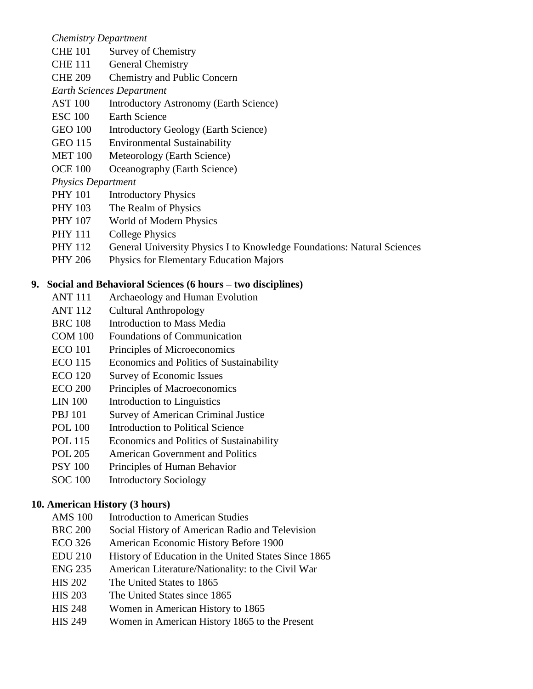#### *Chemistry Department*

- CHE 101 Survey of Chemistry
- CHE 111 General Chemistry
- CHE 209 Chemistry and Public Concern
- *Earth Sciences Department*
- AST 100 Introductory Astronomy (Earth Science)
- ESC 100 Earth Science
- GEO 100 Introductory Geology (Earth Science)
- GEO 115 Environmental Sustainability
- MET 100 Meteorology (Earth Science)
- OCE 100 Oceanography (Earth Science)

### *Physics Department*

- PHY 101 Introductory Physics
- PHY 103 The Realm of Physics
- PHY 107 World of Modern Physics
- PHY 111 College Physics
- PHY 112 General University Physics I to Knowledge Foundations: Natural Sciences
- PHY 206 Physics for Elementary Education Majors

### **9. Social and Behavioral Sciences (6 hours – two disciplines)**

- ANT 111 Archaeology and Human Evolution
- ANT 112 Cultural Anthropology
- BRC 108 Introduction to Mass Media
- COM 100 Foundations of Communication
- ECO 101 Principles of Microeconomics
- ECO 115 Economics and Politics of Sustainability
- ECO 120 Survey of Economic Issues
- ECO 200 Principles of Macroeconomics
- LIN 100 Introduction to Linguistics
- PBJ 101 Survey of American Criminal Justice
- POL 100 Introduction to Political Science
- POL 115 Economics and Politics of Sustainability
- POL 205 American Government and Politics
- PSY 100 Principles of Human Behavior
- SOC 100 Introductory Sociology

### **10. American History (3 hours)**

- AMS 100 Introduction to American Studies
- BRC 200 Social History of American Radio and Television
- ECO 326 American Economic History Before 1900
- EDU 210 History of Education in the United States Since 1865
- ENG 235 American Literature/Nationality: to the Civil War
- HIS 202 The United States to 1865
- HIS 203 The United States since 1865
- HIS 248 Women in American History to 1865
- HIS 249 Women in American History 1865 to the Present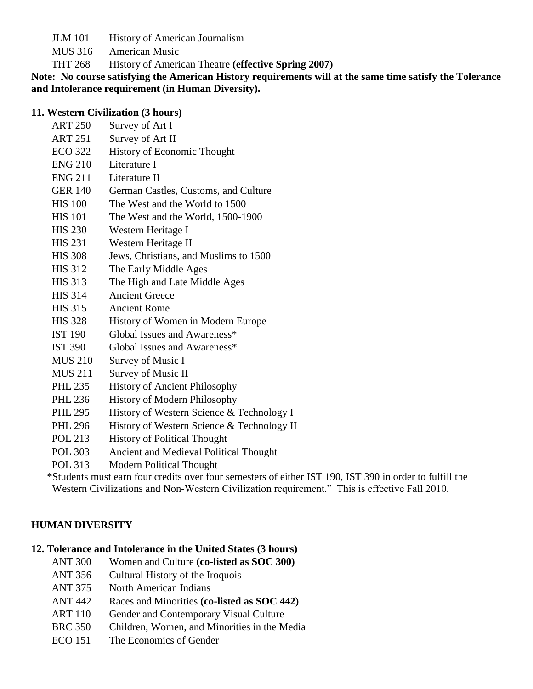- JLM 101 History of American Journalism
- MUS 316 American Music
- THT 268 History of American Theatre **(effective Spring 2007)**

**Note: No course satisfying the American History requirements will at the same time satisfy the Tolerance and Intolerance requirement (in Human Diversity).**

#### **11. Western Civilization (3 hours)**

- ART 250 Survey of Art I
- ART 251 Survey of Art II
- ECO 322 History of Economic Thought
- ENG 210 Literature I
- ENG 211 Literature II
- GER 140 German Castles, Customs, and Culture
- HIS 100 The West and the World to 1500
- HIS 101 The West and the World, 1500-1900
- HIS 230 Western Heritage I
- HIS 231 Western Heritage II
- HIS 308 Jews, Christians, and Muslims to 1500
- HIS 312 The Early Middle Ages
- HIS 313 The High and Late Middle Ages
- HIS 314 Ancient Greece
- HIS 315 Ancient Rome
- HIS 328 History of Women in Modern Europe
- IST 190 Global Issues and Awareness\*
- IST 390 Global Issues and Awareness\*
- MUS 210 Survey of Music I
- MUS 211 Survey of Music II
- PHL 235 History of Ancient Philosophy
- PHL 236 History of Modern Philosophy
- PHL 295 History of Western Science & Technology I
- PHL 296 History of Western Science & Technology II
- POL 213 History of Political Thought
- POL 303 Ancient and Medieval Political Thought
- POL 313 Modern Political Thought

 \*Students must earn four credits over four semesters of either IST 190, IST 390 in order to fulfill the Western Civilizations and Non-Western Civilization requirement." This is effective Fall 2010.

### **HUMAN DIVERSITY**

# **12. Tolerance and Intolerance in the United States (3 hours)**

- ANT 300 Women and Culture **(co-listed as SOC 300)**
- ANT 356 Cultural History of the Iroquois
- ANT 375 North American Indians
- ANT 442 Races and Minorities **(co-listed as SOC 442)**
- ART 110 Gender and Contemporary Visual Culture
- BRC 350 Children, Women, and Minorities in the Media
- ECO 151 The Economics of Gender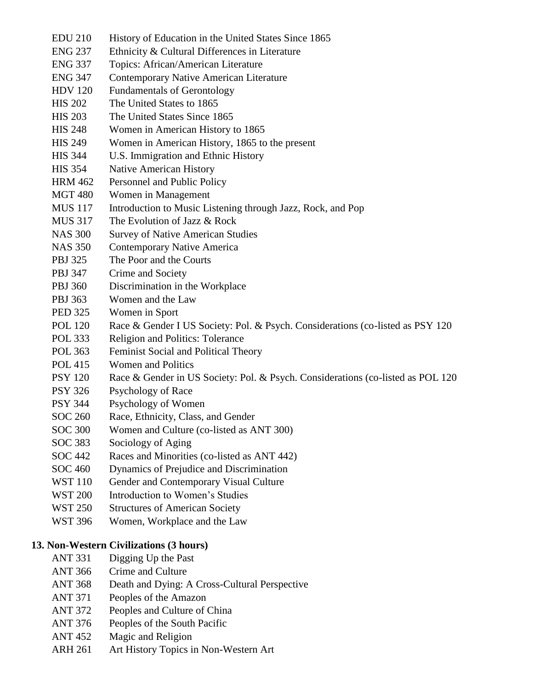EDU 210 History of Education in the United States Since 1865 ENG 237 Ethnicity & Cultural Differences in Literature ENG 337 Topics: African/American Literature ENG 347 Contemporary Native American Literature HDV 120 Fundamentals of Gerontology HIS 202 The United States to 1865 HIS 203 The United States Since 1865 HIS 248 Women in American History to 1865 HIS 249 Women in American History, 1865 to the present HIS 344 U.S. Immigration and Ethnic History HIS 354 Native American History HRM 462 Personnel and Public Policy MGT 480 Women in Management MUS 117 Introduction to Music Listening through Jazz, Rock, and Pop MUS 317 The Evolution of Jazz & Rock NAS 300 Survey of Native American Studies NAS 350 Contemporary Native America PBJ 325 The Poor and the Courts PBJ 347 Crime and Society PBJ 360 Discrimination in the Workplace PBJ 363 Women and the Law PED 325 Women in Sport POL 120 Race & Gender I US Society: Pol. & Psych. Considerations (co-listed as PSY 120 POL 333 Religion and Politics: Tolerance POL 363 Feminist Social and Political Theory POL 415 Women and Politics PSY 120 Race & Gender in US Society: Pol. & Psych. Considerations (co-listed as POL 120 PSY 326 Psychology of Race PSY 344 Psychology of Women SOC 260 Race, Ethnicity, Class, and Gender SOC 300 Women and Culture (co-listed as ANT 300) SOC 383 Sociology of Aging SOC 442 Races and Minorities (co-listed as ANT 442) SOC 460 Dynamics of Prejudice and Discrimination WST 110 Gender and Contemporary Visual Culture WST 200 Introduction to Women's Studies WST 250 Structures of American Society WST 396 Women, Workplace and the Law **13. Non-Western Civilizations (3 hours)** ANT 331 Digging Up the Past ANT 366 Crime and Culture ANT 368 Death and Dying: A Cross-Cultural Perspective ANT 371 Peoples of the Amazon ANT 372 Peoples and Culture of China ANT 376 Peoples of the South Pacific ANT 452 Magic and Religion ARH 261 Art History Topics in Non-Western Art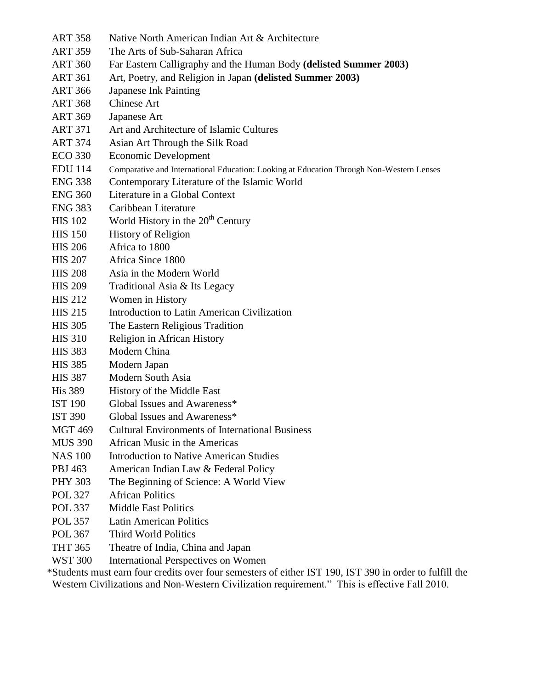| <b>ART 358</b> | Native North American Indian Art & Architecture                                          |
|----------------|------------------------------------------------------------------------------------------|
| <b>ART 359</b> | The Arts of Sub-Saharan Africa                                                           |
| <b>ART 360</b> | Far Eastern Calligraphy and the Human Body (delisted Summer 2003)                        |
| <b>ART 361</b> | Art, Poetry, and Religion in Japan (delisted Summer 2003)                                |
| <b>ART 366</b> | <b>Japanese Ink Painting</b>                                                             |
| <b>ART 368</b> | Chinese Art                                                                              |
| <b>ART 369</b> | Japanese Art                                                                             |
| <b>ART 371</b> | Art and Architecture of Islamic Cultures                                                 |
| <b>ART 374</b> | Asian Art Through the Silk Road                                                          |
| <b>ECO 330</b> | <b>Economic Development</b>                                                              |
| <b>EDU</b> 114 | Comparative and International Education: Looking at Education Through Non-Western Lenses |
| <b>ENG 338</b> | Contemporary Literature of the Islamic World                                             |
| <b>ENG 360</b> | Literature in a Global Context                                                           |
| <b>ENG 383</b> | Caribbean Literature                                                                     |
| <b>HIS 102</b> | World History in the $20th$ Century                                                      |
| <b>HIS 150</b> | <b>History of Religion</b>                                                               |
| <b>HIS 206</b> | Africa to 1800                                                                           |
| <b>HIS 207</b> | Africa Since 1800                                                                        |
| <b>HIS 208</b> | Asia in the Modern World                                                                 |
| <b>HIS 209</b> | Traditional Asia & Its Legacy                                                            |
| <b>HIS 212</b> | Women in History                                                                         |
| <b>HIS 215</b> | Introduction to Latin American Civilization                                              |
| <b>HIS 305</b> | The Eastern Religious Tradition                                                          |
| <b>HIS 310</b> | Religion in African History                                                              |
| <b>HIS 383</b> | Modern China                                                                             |
| <b>HIS 385</b> | Modern Japan                                                                             |
| <b>HIS 387</b> | Modern South Asia                                                                        |
| <b>His 389</b> | History of the Middle East                                                               |
| <b>IST 190</b> | Global Issues and Awareness*                                                             |
| <b>IST 390</b> | Global Issues and Awareness*                                                             |
| <b>MGT 469</b> | <b>Cultural Environments of International Business</b>                                   |
| <b>MUS 390</b> | African Music in the Americas                                                            |
| <b>NAS 100</b> | <b>Introduction to Native American Studies</b>                                           |
| PBJ 463        | American Indian Law & Federal Policy                                                     |
| <b>PHY 303</b> | The Beginning of Science: A World View                                                   |
| <b>POL 327</b> | <b>African Politics</b>                                                                  |
| <b>POL 337</b> | <b>Middle East Politics</b>                                                              |
| <b>POL 357</b> | <b>Latin American Politics</b>                                                           |
| <b>POL 367</b> | <b>Third World Politics</b>                                                              |
| <b>THT 365</b> | Theatre of India, China and Japan                                                        |
| <b>WST 300</b> | <b>International Perspectives on Women</b>                                               |

 \*Students must earn four credits over four semesters of either IST 190, IST 390 in order to fulfill the Western Civilizations and Non-Western Civilization requirement." This is effective Fall 2010.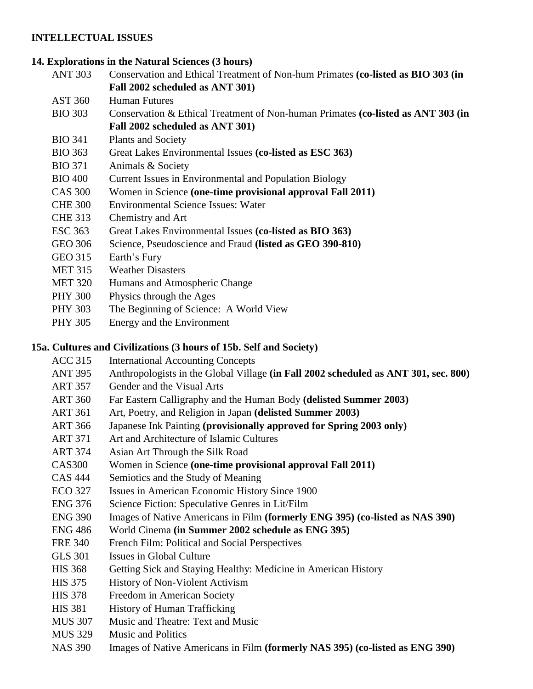### **INTELLECTUAL ISSUES**

## **14. Explorations in the Natural Sciences (3 hours)**

- ANT 303 Conservation and Ethical Treatment of Non-hum Primates **(co-listed as BIO 303 (in Fall 2002 scheduled as ANT 301)**
- AST 360 Human Futures
- BIO 303 Conservation & Ethical Treatment of Non-human Primates **(co-listed as ANT 303 (in Fall 2002 scheduled as ANT 301)**
- BIO 341 Plants and Society
- BIO 363 Great Lakes Environmental Issues **(co-listed as ESC 363)**
- BIO 371 Animals & Society
- BIO 400 Current Issues in Environmental and Population Biology
- CAS 300 Women in Science **(one-time provisional approval Fall 2011)**
- CHE 300 Environmental Science Issues: Water
- CHE 313 Chemistry and Art
- ESC 363 Great Lakes Environmental Issues **(co-listed as BIO 363)**
- GEO 306 Science, Pseudoscience and Fraud **(listed as GEO 390-810)**
- GEO 315 Earth's Fury
- MET 315 Weather Disasters
- MET 320 Humans and Atmospheric Change
- PHY 300 Physics through the Ages
- PHY 303 The Beginning of Science: A World View
- PHY 305 Energy and the Environment

# **15a. Cultures and Civilizations (3 hours of 15b. Self and Society)**

- ACC 315 International Accounting Concepts
- ANT 395 Anthropologists in the Global Village **(in Fall 2002 scheduled as ANT 301, sec. 800)**
- ART 357 Gender and the Visual Arts
- ART 360 Far Eastern Calligraphy and the Human Body **(delisted Summer 2003)**
- ART 361 Art, Poetry, and Religion in Japan **(delisted Summer 2003)**
- ART 366 Japanese Ink Painting **(provisionally approved for Spring 2003 only)**
- ART 371 Art and Architecture of Islamic Cultures
- ART 374 Asian Art Through the Silk Road
- CAS300 Women in Science **(one-time provisional approval Fall 2011)**
- CAS 444 Semiotics and the Study of Meaning
- ECO 327 Issues in American Economic History Since 1900
- ENG 376 Science Fiction: Speculative Genres in Lit/Film
- ENG 390 Images of Native Americans in Film **(formerly ENG 395) (co-listed as NAS 390)**
- ENG 486 World Cinema **(in Summer 2002 schedule as ENG 395)**
- FRE 340 French Film: Political and Social Perspectives
- GLS 301 Issues in Global Culture
- HIS 368 Getting Sick and Staying Healthy: Medicine in American History
- HIS 375 History of Non-Violent Activism
- HIS 378 Freedom in American Society
- HIS 381 History of Human Trafficking
- MUS 307 Music and Theatre: Text and Music
- MUS 329 Music and Politics
- NAS 390 Images of Native Americans in Film **(formerly NAS 395) (co-listed as ENG 390)**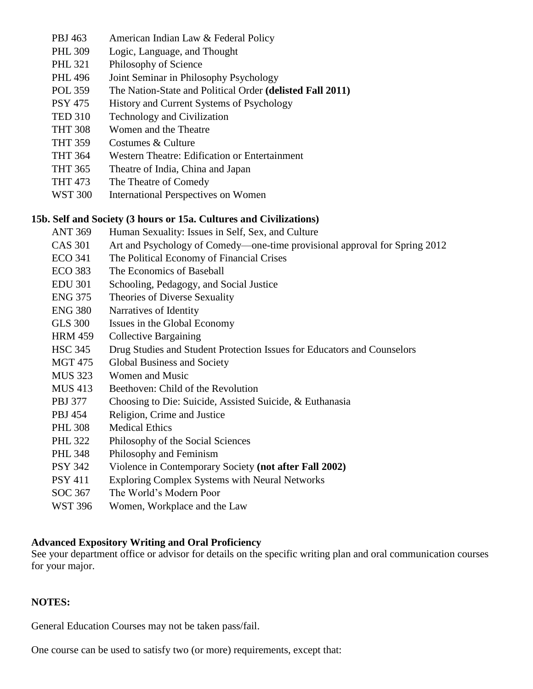- PBJ 463 American Indian Law & Federal Policy
- PHL 309 Logic, Language, and Thought
- PHL 321 Philosophy of Science
- PHL 496 Joint Seminar in Philosophy Psychology
- POL 359 The Nation-State and Political Order **(delisted Fall 2011)**
- PSY 475 History and Current Systems of Psychology
- TED 310 Technology and Civilization
- THT 308 Women and the Theatre
- THT 359 Costumes & Culture
- THT 364 Western Theatre: Edification or Entertainment
- THT 365 Theatre of India, China and Japan
- THT 473 The Theatre of Comedy
- WST 300 International Perspectives on Women

### **15b. Self and Society (3 hours or 15a. Cultures and Civilizations)**

- ANT 369 Human Sexuality: Issues in Self, Sex, and Culture
- CAS 301 Art and Psychology of Comedy—one-time provisional approval for Spring 2012
- ECO 341 The Political Economy of Financial Crises
- ECO 383 The Economics of Baseball
- EDU 301 Schooling, Pedagogy, and Social Justice
- ENG 375 Theories of Diverse Sexuality
- ENG 380 Narratives of Identity
- GLS 300 Issues in the Global Economy
- HRM 459 Collective Bargaining
- HSC 345 Drug Studies and Student Protection Issues for Educators and Counselors
- MGT 475 Global Business and Society
- MUS 323 Women and Music
- MUS 413 Beethoven: Child of the Revolution
- PBJ 377 Choosing to Die: Suicide, Assisted Suicide, & Euthanasia
- PBJ 454 Religion, Crime and Justice
- PHL 308 Medical Ethics
- PHL 322 Philosophy of the Social Sciences
- PHL 348 Philosophy and Feminism
- PSY 342 Violence in Contemporary Society **(not after Fall 2002)**
- PSY 411 Exploring Complex Systems with Neural Networks
- SOC 367 The World's Modern Poor
- WST 396 Women, Workplace and the Law

### **Advanced Expository Writing and Oral Proficiency**

See your department office or advisor for details on the specific writing plan and oral communication courses for your major.

### **NOTES:**

General Education Courses may not be taken pass/fail.

One course can be used to satisfy two (or more) requirements, except that: